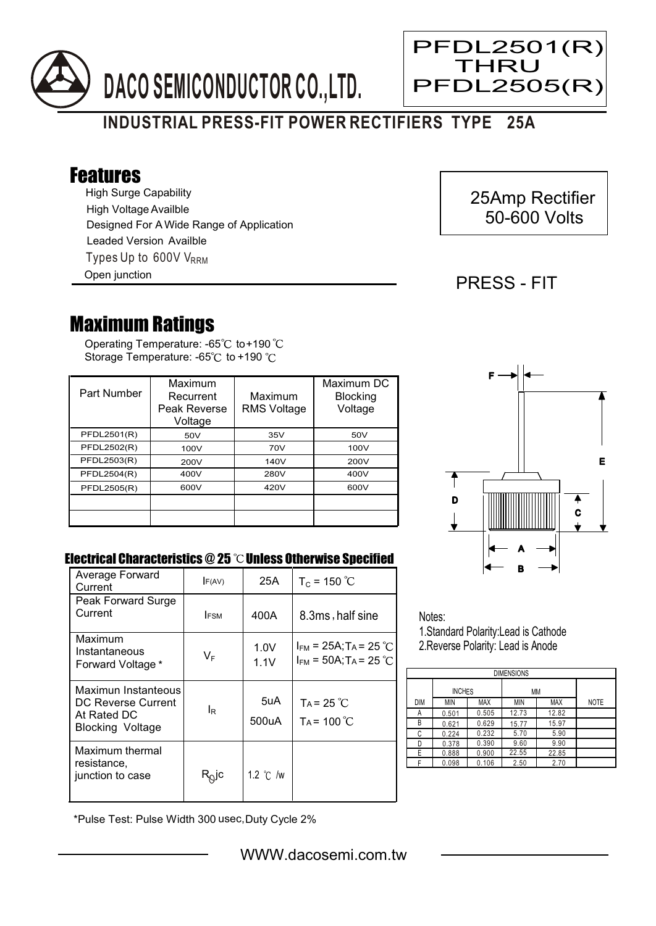

# **INDUSTRIAL PRESS-FIT POWER RECTIFIERS TYPE 25A**

## Features

High Surge Capability Types Up to 600V V<sub>RRM</sub> High Voltage Availble Designed For A Wide Range of Application Leaded Version Availble

Open junction

## 25Amp Rectifier 50-600 Volts

### PRESS - FIT

Ξ

PFDL2501(R) THRU **PFDL2505(F** 

## Maximum Ratings

Operating Temperature: -65 $\degree$ C to+190 Storage Temperature: -65 $^{\circ}$ C to +190  $^{\circ}$ C

| Part Number | Maximum<br>Recurrent<br>Peak Reverse<br>Voltage | Maximum<br><b>RMS Voltage</b> | Maximum DC<br><b>Blocking</b><br>Voltage |
|-------------|-------------------------------------------------|-------------------------------|------------------------------------------|
| PFDL2501(R) | 50V                                             | 35V                           | 50V                                      |
| PFDL2502(R) | 100V                                            | 70V                           | 100V                                     |
| PFDL2503(R) | 200V                                            | 140V                          | 200V                                     |
| PFDL2504(R) | 400V                                            | 280V                          | 400V                                     |
| PFDL2505(R) | 600V                                            | 420V                          | 600V                                     |
|             |                                                 |                               |                                          |
|             |                                                 |                               |                                          |



#### Electrical Characteristics  $@25$   $^{\circ}\text{C}$  Unless Otherwise Specified

| Average Forward<br>Current                                                          | F(AV)                      | 25A                | $T_c = 150 °C$                                                       |
|-------------------------------------------------------------------------------------|----------------------------|--------------------|----------------------------------------------------------------------|
| Peak Forward Surge<br>Current                                                       | <b>IFSM</b>                | 400A               | 8.3ms, half sine                                                     |
| Maximum<br>Instantaneous<br>Forward Voltage *                                       | $V_F$                      | 1.0V<br>1.1V       | $I_{FM}$ = 25A; T <sub>A</sub> = 25 °C<br>$I_{FM}$ = 50A; TA = 25 °C |
| Maximun Instanteous<br>DC Reverse Current<br>At Rated DC<br><b>Blocking Voltage</b> | l <sub>R</sub>             | 5uA<br>500uA       | $Ta = 25 °C$<br>$Ta = 100 °C$                                        |
| Maximum thermal<br>resistance,<br>junction to case                                  | $\mathsf{R}^\mathsf{O}$ lc | 1.2 $\degree$ C /w |                                                                      |

Notes: 1.Standard Polarity:Lead is Cathode

2.Reverse Polarity: Lead is Anode

| <b>DIMENSIONS</b> |               |       |       |       |             |  |  |  |
|-------------------|---------------|-------|-------|-------|-------------|--|--|--|
|                   | <b>INCHES</b> |       | МM    |       |             |  |  |  |
| <b>DIM</b>        | <b>MIN</b>    | MAX   | ΜIΝ   | MAX   | <b>NOTE</b> |  |  |  |
| А                 | 0.501         | 0.505 | 12.73 | 12.82 |             |  |  |  |
| В                 | 0.621         | 0.629 | 15.77 | 15.97 |             |  |  |  |
| С                 | 0.224         | 0.232 | 5.70  | 5.90  |             |  |  |  |
| D                 | 0.378         | 0.390 | 9.60  | 9.90  |             |  |  |  |
| E                 | 0.888         | 0.900 | 22.55 | 22.85 |             |  |  |  |
|                   | 0.098         | 0.106 | 2.50  | 2.70  |             |  |  |  |

\*Pulse Test: Pulse Width 300 usec,Duty Cycle 2%